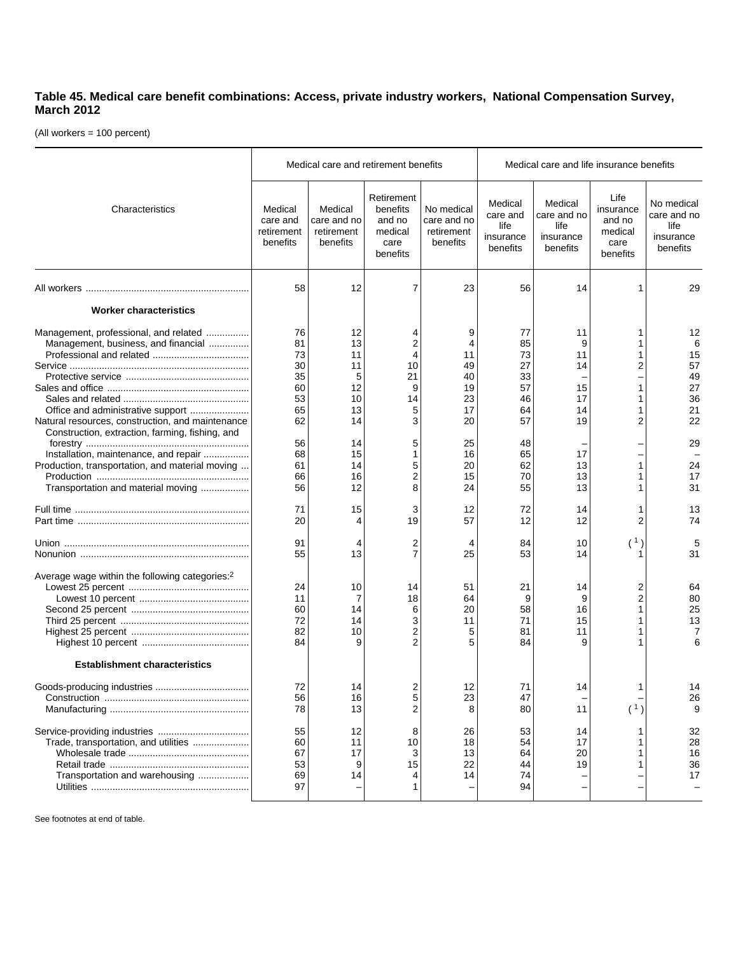## **Table 45. Medical care benefit combinations: Access, private industry workers, National Compensation Survey, March 2012**

(All workers = 100 percent)

|                                                                                                                                                                                   |                                                    | Medical care and retirement benefits              |                                                                 |                                                     | Medical care and life insurance benefits             |                                                         |                                                            |                                                            |
|-----------------------------------------------------------------------------------------------------------------------------------------------------------------------------------|----------------------------------------------------|---------------------------------------------------|-----------------------------------------------------------------|-----------------------------------------------------|------------------------------------------------------|---------------------------------------------------------|------------------------------------------------------------|------------------------------------------------------------|
| Characteristics                                                                                                                                                                   | Medical<br>care and<br>retirement<br>benefits      | Medical<br>care and no<br>retirement<br>benefits  | Retirement<br>benefits<br>and no<br>medical<br>care<br>benefits | No medical<br>care and no<br>retirement<br>benefits | Medical<br>care and<br>life<br>insurance<br>benefits | Medical<br>care and no<br>life<br>insurance<br>benefits | Life<br>insurance<br>and no<br>medical<br>care<br>benefits | No medical<br>care and no<br>life<br>insurance<br>benefits |
|                                                                                                                                                                                   | 58                                                 | 12                                                | 7                                                               | 23                                                  | 56                                                   | 14                                                      |                                                            | 29                                                         |
| <b>Worker characteristics</b>                                                                                                                                                     |                                                    |                                                   |                                                                 |                                                     |                                                      |                                                         |                                                            |                                                            |
| Management, professional, and related<br>Management, business, and financial<br>Office and administrative support<br>Natural resources, construction, and maintenance             | 76<br>81<br>73<br>30<br>35<br>60<br>53<br>65<br>62 | 12<br>13<br>11<br>11<br>5<br>12<br>10<br>13<br>14 | 4<br>2<br>4<br>10<br>21<br>9<br>14<br>5<br>3                    | 9<br>4<br>11<br>49<br>40<br>19<br>23<br>17<br>20    | 77<br>85<br>73<br>27<br>33<br>57<br>46<br>64<br>57   | 11<br>9<br>11<br>14<br>15<br>17<br>14<br>19             | 1<br>1<br>2<br>1<br>1<br>1<br>2                            | 12<br>6<br>15<br>57<br>49<br>27<br>36<br>21<br>22          |
| Construction, extraction, farming, fishing, and<br>Installation, maintenance, and repair<br>Production, transportation, and material moving<br>Transportation and material moving | 56<br>68<br>61<br>66<br>56                         | 14<br>15<br>14<br>16<br>12                        | 5<br>1<br>5<br>2<br>8                                           | 25<br>16<br>20<br>15<br>24                          | 48<br>65<br>62<br>70<br>55                           | 17<br>13<br>13<br>13                                    | 1                                                          | 29<br>24<br>17<br>31                                       |
|                                                                                                                                                                                   | 71<br>20                                           | 15<br>4                                           | 3<br>19                                                         | 12<br>57                                            | 72<br>12                                             | 14<br>12                                                | 1<br>2                                                     | 13<br>74                                                   |
|                                                                                                                                                                                   | 91<br>55                                           | 4<br>13                                           | 2<br>7                                                          | 4<br>25                                             | 84<br>53                                             | 10<br>14                                                | (1)                                                        | 5<br>31                                                    |
| Average wage within the following categories: <sup>2</sup>                                                                                                                        | 24<br>11<br>60<br>72<br>82<br>84                   | 10<br>$\overline{7}$<br>14<br>14<br>10<br>9       | 14<br>18<br>6<br>3<br>2<br>$\overline{2}$                       | 51<br>64<br>20<br>11<br>5<br>5                      | 21<br>9<br>58<br>71<br>81<br>84                      | 14<br>9<br>16<br>15<br>11<br>9                          | 2<br>2<br>1<br>1.                                          | 64<br>80<br>25<br>13<br>7<br>6                             |
| <b>Establishment characteristics</b>                                                                                                                                              |                                                    |                                                   |                                                                 |                                                     |                                                      |                                                         |                                                            |                                                            |
|                                                                                                                                                                                   | 72<br>56<br>78                                     | 14<br>16<br>13                                    | 2<br>5<br>2                                                     | 12<br>23<br>8                                       | 71<br>47<br>80                                       | 14<br>11                                                | 1<br>(1)                                                   | 14<br>26<br>9                                              |
| Trade, transportation, and utilities<br>Transportation and warehousing                                                                                                            | 55<br>60<br>67<br>53<br>69<br>97                   | 12<br>11<br>17<br>9<br>14                         | 8<br>10<br>15<br>1                                              | 26<br>18<br>13<br>22<br>14                          | 53<br>54<br>64<br>44<br>74<br>94                     | 14<br>17<br>20<br>19                                    | 1.                                                         | 32<br>28<br>16<br>36<br>17                                 |

See footnotes at end of table.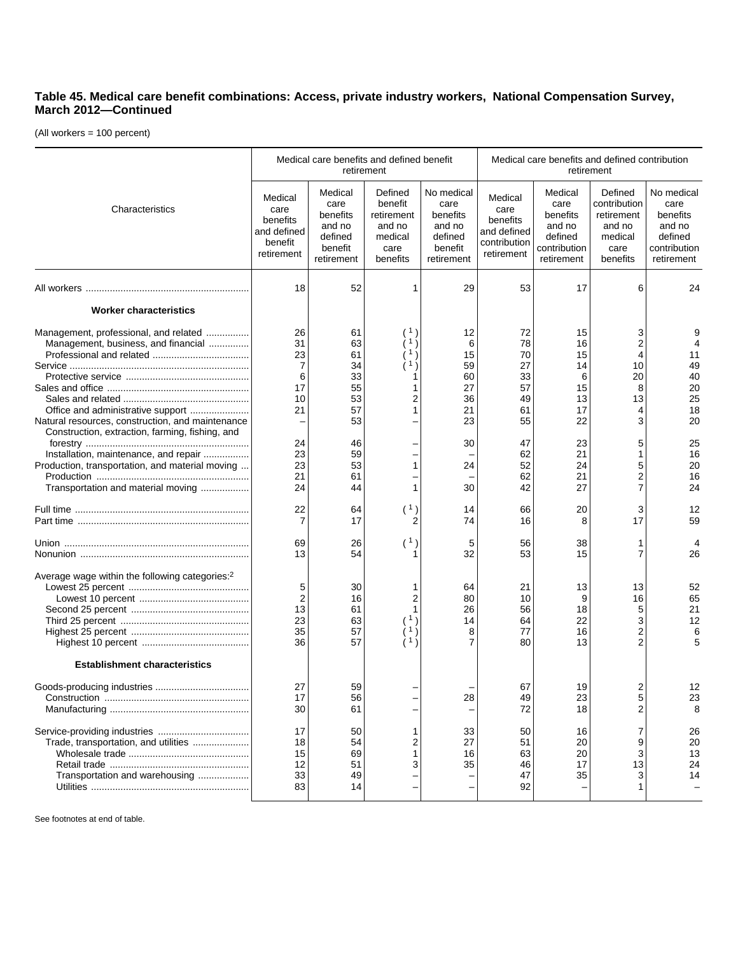## **Table 45. Medical care benefit combinations: Access, private industry workers, National Compensation Survey, March 2012—Continued**

(All workers = 100 percent)

|                                                                                                                                                                                   | Medical care benefits and defined benefit<br>retirement             |                                                                           |                                                                           |                                                                              | Medical care benefits and defined contribution<br>retirement             |                                                                                |                                                                                |                                                                                   |
|-----------------------------------------------------------------------------------------------------------------------------------------------------------------------------------|---------------------------------------------------------------------|---------------------------------------------------------------------------|---------------------------------------------------------------------------|------------------------------------------------------------------------------|--------------------------------------------------------------------------|--------------------------------------------------------------------------------|--------------------------------------------------------------------------------|-----------------------------------------------------------------------------------|
| Characteristics                                                                                                                                                                   | Medical<br>care<br>benefits<br>and defined<br>benefit<br>retirement | Medical<br>care<br>benefits<br>and no<br>defined<br>benefit<br>retirement | Defined<br>benefit<br>retirement<br>and no<br>medical<br>care<br>benefits | No medical<br>care<br>benefits<br>and no<br>defined<br>benefit<br>retirement | Medical<br>care<br>benefits<br>and defined<br>contribution<br>retirement | Medical<br>care<br>benefits<br>and no<br>defined<br>contribution<br>retirement | Defined<br>contribution<br>retirement<br>and no<br>medical<br>care<br>benefits | No medical<br>care<br>benefits<br>and no<br>defined<br>contribution<br>retirement |
|                                                                                                                                                                                   | 18                                                                  | 52                                                                        | 1                                                                         | 29                                                                           | 53                                                                       | 17                                                                             | 6                                                                              | 24                                                                                |
| <b>Worker characteristics</b>                                                                                                                                                     |                                                                     |                                                                           |                                                                           |                                                                              |                                                                          |                                                                                |                                                                                |                                                                                   |
| Management, professional, and related<br>Management, business, and financial<br>Natural resources, construction, and maintenance                                                  | 26<br>31<br>23<br>$\overline{7}$<br>6<br>17<br>10<br>21             | 61<br>63<br>61<br>34<br>33<br>55<br>53<br>57<br>53                        | -1<br>-1<br>2<br>1                                                        | 12<br>6<br>15<br>59<br>60<br>27<br>36<br>21<br>23                            | 72<br>78<br>70<br>27<br>33<br>57<br>49<br>61<br>55                       | 15<br>16<br>15<br>14<br>6<br>15<br>13<br>17<br>22                              | 3<br>4<br>10<br>20<br>8<br>13<br>4<br>3                                        | 9<br>4<br>11<br>49<br>40<br>20<br>25<br>18<br>20                                  |
| Construction, extraction, farming, fishing, and<br>Installation, maintenance, and repair<br>Production, transportation, and material moving<br>Transportation and material moving | 24<br>23<br>23<br>21<br>24                                          | 46<br>59<br>53<br>61<br>44                                                | 1<br>1                                                                    | 30<br>24<br>30                                                               | 47<br>62<br>52<br>62<br>42                                               | 23<br>21<br>24<br>21<br>27                                                     | 5<br>5<br>2<br>7                                                               | 25<br>16<br>20<br>16<br>24                                                        |
|                                                                                                                                                                                   | 22<br>$\overline{7}$                                                | 64<br>17                                                                  | (1)<br>2                                                                  | 14<br>74                                                                     | 66<br>16                                                                 | 20<br>8                                                                        | 3<br>17                                                                        | 12<br>59                                                                          |
|                                                                                                                                                                                   | 69<br>13                                                            | 26<br>54                                                                  | (1)                                                                       | 5<br>32                                                                      | 56<br>53                                                                 | 38<br>15                                                                       | 7                                                                              | 26                                                                                |
| Average wage within the following categories:2                                                                                                                                    | 5<br>$\overline{2}$<br>13<br>23<br>35<br>36                         | 30<br>16<br>61<br>63<br>57<br>57                                          | 1<br>2<br>1<br>(1<br>(1<br>11)                                            | 64<br>80<br>26<br>14<br>8<br>7                                               | 21<br>10<br>56<br>64<br>77<br>80                                         | 13<br>9<br>18<br>22<br>16<br>13                                                | 13<br>16<br>5<br>3                                                             | 52<br>65<br>21<br>12<br>6<br>5                                                    |
| <b>Establishment characteristics</b>                                                                                                                                              |                                                                     |                                                                           |                                                                           |                                                                              |                                                                          |                                                                                |                                                                                |                                                                                   |
|                                                                                                                                                                                   | 27<br>17<br>30                                                      | 59<br>56<br>61                                                            |                                                                           | 28                                                                           | 67<br>49<br>72                                                           | 19<br>23<br>18                                                                 | 5                                                                              | 12<br>23<br>8                                                                     |
| Trade, transportation, and utilities<br>Transportation and warehousing                                                                                                            | 17<br>18<br>15<br>12<br>33<br>83                                    | 50<br>54<br>69<br>51<br>49<br>14                                          | 1<br>2<br>3                                                               | 33<br>27<br>16<br>35                                                         | 50<br>51<br>63<br>46<br>47<br>92                                         | 16<br>20<br>20<br>17<br>35                                                     | 13                                                                             | 26<br>20<br>13<br>24<br>14                                                        |

See footnotes at end of table.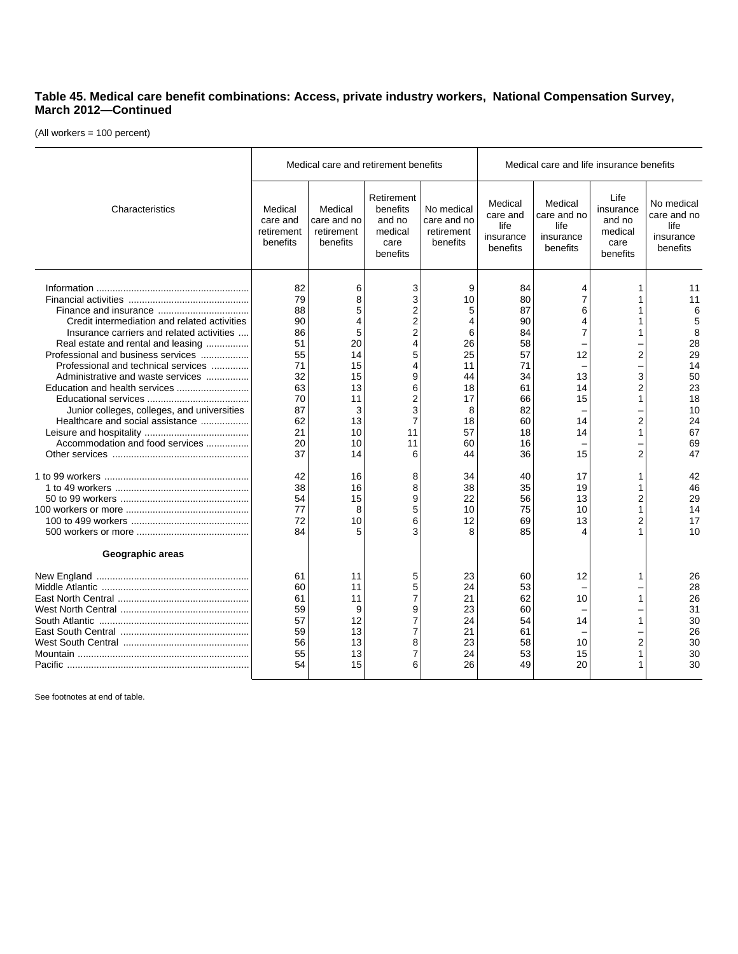## **Table 45. Medical care benefit combinations: Access, private industry workers, National Compensation Survey, March 2012—Continued**

(All workers = 100 percent)

|                                                                                                                                                                                                                                                                                                                                                                         |                                                                                              | Medical care and retirement benefits                                    |                                                                                |                                                                                         |                                                                                              | Medical care and life insurance benefits                        |                                                            |                                                                                           |
|-------------------------------------------------------------------------------------------------------------------------------------------------------------------------------------------------------------------------------------------------------------------------------------------------------------------------------------------------------------------------|----------------------------------------------------------------------------------------------|-------------------------------------------------------------------------|--------------------------------------------------------------------------------|-----------------------------------------------------------------------------------------|----------------------------------------------------------------------------------------------|-----------------------------------------------------------------|------------------------------------------------------------|-------------------------------------------------------------------------------------------|
| Characteristics                                                                                                                                                                                                                                                                                                                                                         | Medical<br>care and<br>retirement<br>benefits                                                | Medical<br>care and no<br>retirement<br>benefits                        | Retirement<br>benefits<br>and no<br>medical<br>care<br>benefits                | No medical<br>care and no<br>retirement<br>benefits                                     | Medical<br>care and<br>life<br>insurance<br>benefits                                         | Medical<br>care and no<br>life<br>insurance<br>benefits         | Life<br>insurance<br>and no<br>medical<br>care<br>benefits | No medical<br>care and no<br>life<br>insurance<br>benefits                                |
| Credit intermediation and related activities<br>Insurance carriers and related activities<br>Real estate and rental and leasing<br>Professional and business services<br>Professional and technical services<br>Administrative and waste services<br>Junior colleges, colleges, and universities<br>Healthcare and social assistance<br>Accommodation and food services | 82<br>79<br>88<br>90<br>86<br>51<br>55<br>71<br>32<br>63<br>70<br>87<br>62<br>21<br>20<br>37 | 6<br>8<br>20<br>14<br>15<br>15<br>13<br>11<br>3<br>13<br>10<br>10<br>14 | 3<br>3<br>2<br>2<br>2<br>4<br>5<br>4<br>9<br>6<br>2<br>3<br>7<br>11<br>11<br>6 | 9<br>10<br>5<br>4<br>6<br>26<br>25<br>11<br>44<br>18<br>17<br>8<br>18<br>57<br>60<br>44 | 84<br>80<br>87<br>90<br>84<br>58<br>57<br>71<br>34<br>61<br>66<br>82<br>60<br>18<br>16<br>36 | 4<br>7<br>6<br>4<br>7<br>12<br>13<br>14<br>15<br>14<br>14<br>15 | 2<br>3<br>2<br>$\overline{2}$<br>1<br>2                    | 11<br>11<br>6<br>5<br>8<br>28<br>29<br>14<br>50<br>23<br>18<br>10<br>24<br>67<br>69<br>47 |
| Geographic areas                                                                                                                                                                                                                                                                                                                                                        | 42<br>38<br>54<br>77<br>72<br>84                                                             | 16<br>16<br>15<br>8<br>10<br>5                                          | 8<br>8<br>9<br>5<br>6<br>3                                                     | 34<br>38<br>22<br>10<br>12<br>8                                                         | 40<br>35<br>56<br>75<br>69<br>85                                                             | 17<br>19<br>13<br>10<br>13                                      | 1<br>$\overline{2}$                                        | 42<br>46<br>29<br>14<br>17<br>10                                                          |
|                                                                                                                                                                                                                                                                                                                                                                         | 61<br>60<br>61<br>59<br>57<br>59<br>56<br>55<br>54                                           | 11<br>11<br>11<br>9<br>12<br>13<br>13<br>13<br>15                       | 5<br>5<br>7<br>9<br>7<br>7<br>8<br>7<br>6                                      | 23<br>24<br>21<br>23<br>24<br>21<br>23<br>24<br>26                                      | 60<br>53<br>62<br>60<br>54<br>61<br>58<br>53<br>49                                           | 12<br>10<br>14<br>10<br>15<br>20                                | 1<br>2                                                     | 26<br>28<br>26<br>31<br>30<br>26<br>30<br>30<br>30                                        |

See footnotes at end of table.